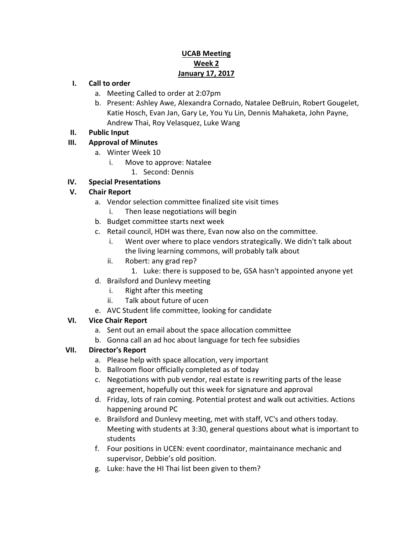## **UCAB Meeting Week 2 January 17, 2017**

#### **I. Call to order**

- a. Meeting Called to order at 2:07pm
- b. Present: Ashley Awe, Alexandra Cornado, Natalee DeBruin, Robert Gougelet, Katie Hosch, Evan Jan, Gary Le, You Yu Lin, Dennis Mahaketa, John Payne, Andrew Thai, Roy Velasquez, Luke Wang
- **II. Public Input**

## **III. Approval of Minutes**

- a. Winter Week 10
	- i. Move to approve: Natalee
		- 1. Second: Dennis

## **IV. Special Presentations**

## **V. Chair Report**

- a. Vendor selection committee finalized site visit times
	- i. Then lease negotiations will begin
- b. Budget committee starts next week
- c. Retail council, HDH was there, Evan now also on the committee.
	- i. Went over where to place vendors strategically. We didn't talk about the living learning commons, will probably talk about
	- ii. Robert: any grad rep?
		- 1. Luke: there is supposed to be, GSA hasn't appointed anyone yet
- d. Brailsford and Dunlevy meeting
	- i. Right after this meeting
	- ii. Talk about future of ucen
- e. AVC Student life committee, looking for candidate

#### **VI. Vice Chair Report**

- a. Sent out an email about the space allocation committee
- b. Gonna call an ad hoc about language for tech fee subsidies

#### **VII. Director's Report**

- a. Please help with space allocation, very important
- b. Ballroom floor officially completed as of today
- c. Negotiations with pub vendor, real estate is rewriting parts of the lease agreement, hopefully out this week for signature and approval
- d. Friday, lots of rain coming. Potential protest and walk out activities. Actions happening around PC
- e. Brailsford and Dunlevy meeting, met with staff, VC's and others today. Meeting with students at 3:30, general questions about what is important to students
- f. Four positions in UCEN: event coordinator, maintainance mechanic and supervisor, Debbie's old position.
- g. Luke: have the HI Thai list been given to them?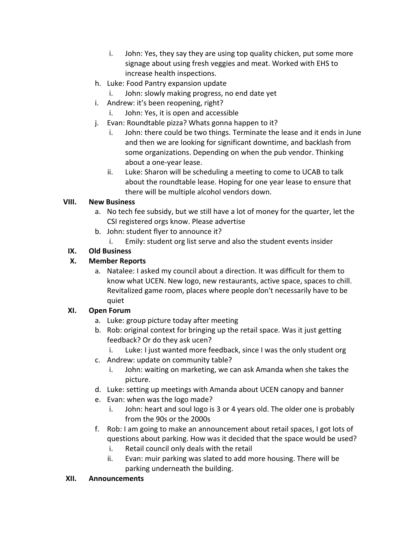- i. John: Yes, they say they are using top quality chicken, put some more signage about using fresh veggies and meat. Worked with EHS to increase health inspections.
- h. Luke: Food Pantry expansion update
	- i. John: slowly making progress, no end date yet
- i. Andrew: it's been reopening, right?
	- i. John: Yes, it is open and accessible
- j. Evan: Roundtable pizza? Whats gonna happen to it?
	- i. John: there could be two things. Terminate the lease and it ends in June and then we are looking for significant downtime, and backlash from some organizations. Depending on when the pub vendor. Thinking about a one-year lease.
	- ii. Luke: Sharon will be scheduling a meeting to come to UCAB to talk about the roundtable lease. Hoping for one year lease to ensure that there will be multiple alcohol vendors down.

#### **VIII. New Business**

- a. No tech fee subsidy, but we still have a lot of money for the quarter, let the CSI registered orgs know. Please advertise
- b. John: student flyer to announce it?
	- i. Emily: student org list serve and also the student events insider

#### **IX. Old Business**

#### **X. Member Reports**

a. Natalee: I asked my council about a direction. It was difficult for them to know what UCEN. New logo, new restaurants, active space, spaces to chill. Revitalized game room, places where people don't necessarily have to be quiet

#### **XI. Open Forum**

- a. Luke: group picture today after meeting
- b. Rob: original context for bringing up the retail space. Was it just getting feedback? Or do they ask ucen?
	- i. Luke: I just wanted more feedback, since I was the only student org
- c. Andrew: update on community table?
	- i. John: waiting on marketing, we can ask Amanda when she takes the picture.
- d. Luke: setting up meetings with Amanda about UCEN canopy and banner
- e. Evan: when was the logo made?
	- i. John: heart and soul logo is 3 or 4 years old. The older one is probably from the 90s or the 2000s
- f. Rob: I am going to make an announcement about retail spaces, I got lots of questions about parking. How was it decided that the space would be used?
	- i. Retail council only deals with the retail
	- ii. Evan: muir parking was slated to add more housing. There will be parking underneath the building.

#### **XII. Announcements**